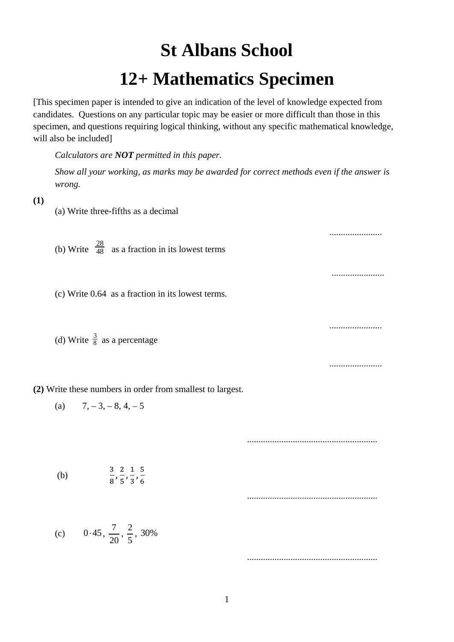# **St Albans School 12+ Mathematics Specimen**

[This specimen paper is intended to give an indication of the level of knowledge expected from candidates. Questions on any particular topic may be easier or more difficult than those in this specimen, and questions requiring logical thinking, without any specific mathematical knowledge, will also be included]

*Calculators are NOT permitted in this paper.*

*Show all your working, as marks may be awarded for correct methods even if the answer is wrong.* 

#### **(1)**

- (a) Write three-fifths as a decimal
- (b) Write  $\frac{28}{48}$  as a fraction in its lowest terms
- (c) Write 0.64 as a fraction in its lowest terms.
- (d) Write  $\frac{3}{8}$  as a percentage

**(2)** Write these numbers in order from smallest to largest.

(a) 
$$
7, -3, -8, 4, -5
$$

.........................................................

.......................

.......................

.......................

.......................

| (b) | 3 2 1 5 |
|-----|---------|
|     | 8'5'3'6 |

.........................................................

.........................................................

(c) 
$$
0.45, \frac{7}{20}, \frac{2}{5}, 30\%
$$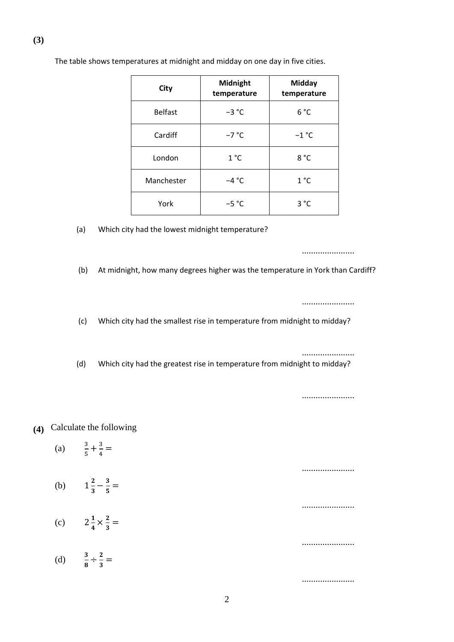| City           | Midnight<br>temperature | <b>Midday</b><br>temperature |
|----------------|-------------------------|------------------------------|
| <b>Belfast</b> | $-3$ °C                 | 6 °C                         |
| Cardiff        | $-7 °C$                 | $-1$ °C                      |
| London         | 1 °C                    | 8°C                          |
| Manchester     | $-4 °C$                 | 1°C                          |
| York           | $-5 °C$                 | 3 °C                         |

The table shows temperatures at midnight and midday on one day in five cities.

(a) Which city had the lowest midnight temperature?

.......................

(b) At midnight, how many degrees higher was the temperature in York than Cardiff?

.......................

(c) Which city had the smallest rise in temperature from midnight to midday?

(d) Which city had the greatest rise in temperature from midnight to midday?

.......................

.......................

.......................

.......................

.......................

.......................

## **(4)** Calculate the following

- (a)  $\frac{3}{5} + \frac{3}{4} =$
- (b)  $1\frac{2}{3} \frac{3}{5} =$
- (c)  $2\frac{1}{4} \times \frac{2}{3} =$
- (d)  $\frac{3}{8} \div \frac{2}{3} =$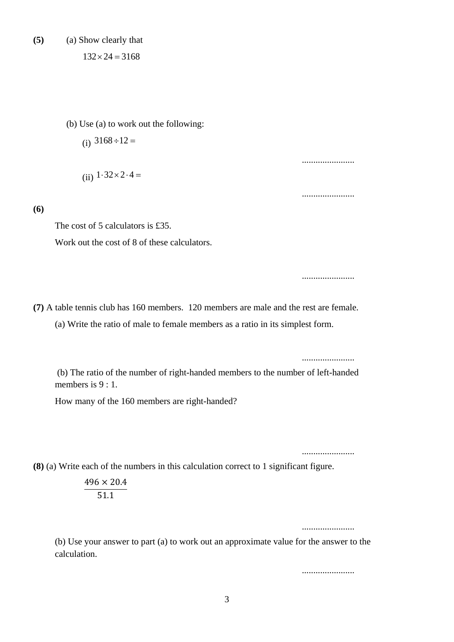**(5)** (a) Show clearly that

 $132 \times 24 = 3168$ 

(b) Use (a) to work out the following:

(i)  $3168 \div 12 =$ 

(ii)  $1.32 \times 2.4 =$ 

**(6)**

The cost of 5 calculators is £35. Work out the cost of 8 of these calculators.

**(7)** A table tennis club has 160 members. 120 members are male and the rest are female.

(a) Write the ratio of male to female members as a ratio in its simplest form.

.......................

.......................

.......................

.......................

(b) The ratio of the number of right-handed members to the number of left-handed members is  $9:1$ .

How many of the 160 members are right-handed?

**(8)** (a) Write each of the numbers in this calculation correct to 1 significant figure.

$$
\frac{496 \times 20.4}{51.1}
$$

.......................

.......................

(b) Use your answer to part (a) to work out an approximate value for the answer to the calculation.

.......................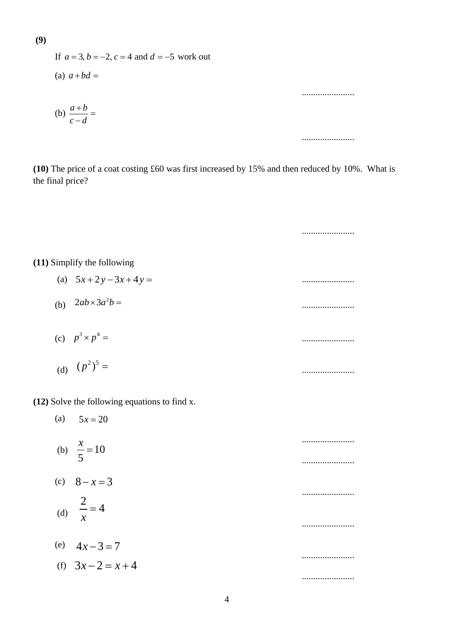If 
$$
a = 3, b = -2, c = 4
$$
 and  $d = -5$  work out  
\n(a)  $a + bd =$ 

**(10)** The price of a coat costing £60 was first increased by 15% and then reduced by 10%. What is the final price?

.......................

.......................

.......................

.......................

.......................

.......................

.......................

**(11)** Simplify the following

| (a) $5x+2y-3x+4y=$         |  |
|----------------------------|--|
| $\Omega$ $\Omega$ $\Omega$ |  |

- (b) ....................... <sup>2</sup> 2 3 *ab a b* × =
- (c) ....................... 3 4 *p p* × =

(d) 
$$
(p^2)^5
$$
 =

## **(12)** Solve the following equations to find x.

(b)  $\frac{\pi}{5} = 10$ (c)  $8 - x = 3$ (d)  $\frac{2}{r} = 4$ (e)  $4x-3=7$ (f)  $3x-2=x+4$ 5  $\frac{x}{x}$  = *x* =

 $5x = 20$ 

(a)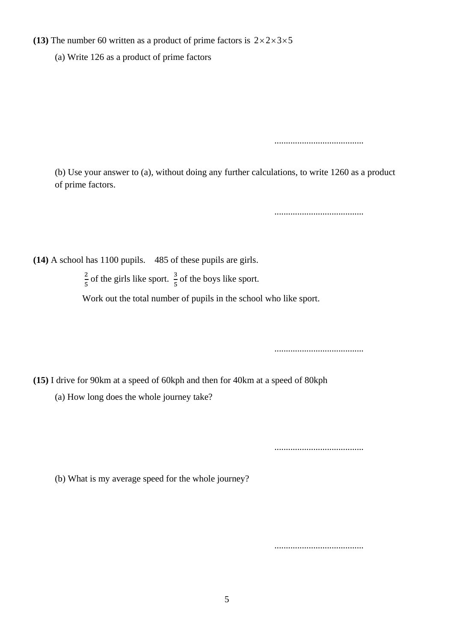### **(13)** The number 60 written as a product of prime factors is  $2 \times 2 \times 3 \times 5$

(a) Write 126 as a product of prime factors

.......................................

(b) Use your answer to (a), without doing any further calculations, to write 1260 as a product of prime factors.

.......................................

**(14)** A school has 1100 pupils. 485 of these pupils are girls.

2  $\frac{2}{5}$  of the girls like sport.  $\frac{3}{5}$  of the boys like sport.

Work out the total number of pupils in the school who like sport.

.......................................

**(15)** I drive for 90km at a speed of 60kph and then for 40km at a speed of 80kph

(a) How long does the whole journey take?

.......................................

.......................................

(b) What is my average speed for the whole journey?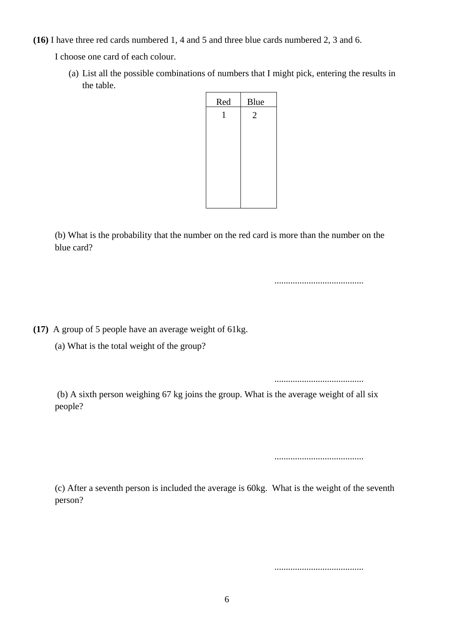**(16)** I have three red cards numbered 1, 4 and 5 and three blue cards numbered 2, 3 and 6.

I choose one card of each colour.

(a) List all the possible combinations of numbers that I might pick, entering the results in the table.



(b) What is the probability that the number on the red card is more than the number on the blue card?

**(17)** A group of 5 people have an average weight of 61kg.

(a) What is the total weight of the group?

.......................................

.......................................

(b) A sixth person weighing 67 kg joins the group. What is the average weight of all six people?

.......................................

(c) After a seventh person is included the average is 60kg. What is the weight of the seventh person?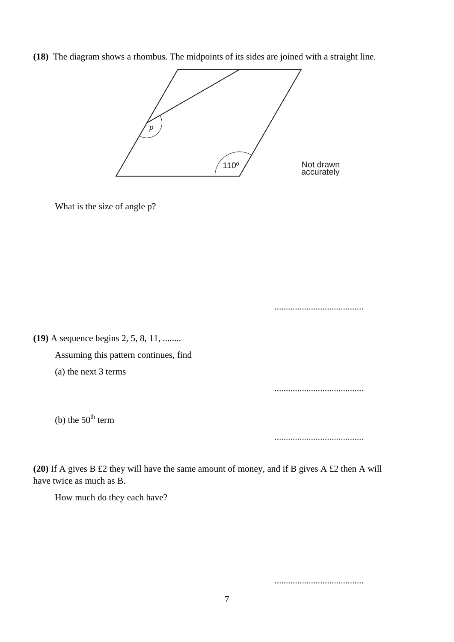**(18)** The diagram shows a rhombus. The midpoints of its sides are joined with a straight line.



What is the size of angle p?

**(19)** A sequence begins 2, 5, 8, 11, ........ Assuming this pattern continues, find (a) the next 3 terms ....................................... (b) the  $50<sup>th</sup>$  term

.......................................

.......................................

**(20)** If A gives B £2 they will have the same amount of money, and if B gives A £2 then A will have twice as much as B.

How much do they each have?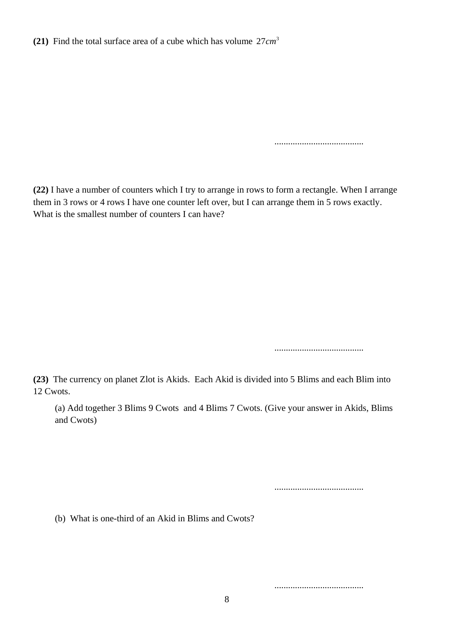**(21)** Find the total surface area of a cube which has volume  $27 \text{ cm}^3$ 

.......................................

**(22)** I have a number of counters which I try to arrange in rows to form a rectangle. When I arrange them in 3 rows or 4 rows I have one counter left over, but I can arrange them in 5 rows exactly. What is the smallest number of counters I can have?

.......................................

**(23)** The currency on planet Zlot is Akids. Each Akid is divided into 5 Blims and each Blim into 12 Cwots.

(a) Add together 3 Blims 9 Cwots and 4 Blims 7 Cwots. (Give your answer in Akids, Blims and Cwots)

.......................................

(b) What is one-third of an Akid in Blims and Cwots?